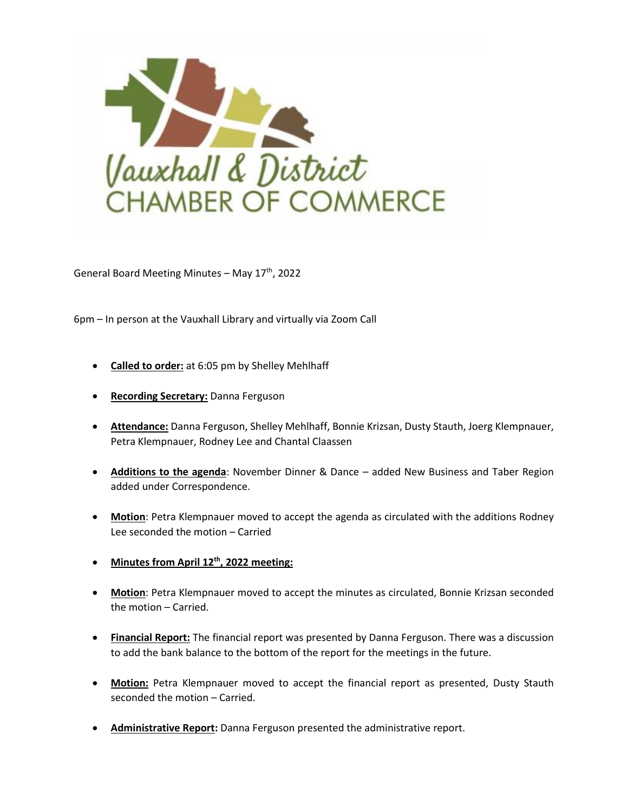

General Board Meeting Minutes - May 17<sup>th</sup>, 2022

6pm – In person at the Vauxhall Library and virtually via Zoom Call

- **Called to order:** at 6:05 pm by Shelley Mehlhaff
- **Recording Secretary:** Danna Ferguson
- **Attendance:** Danna Ferguson, Shelley Mehlhaff, Bonnie Krizsan, Dusty Stauth, Joerg Klempnauer, Petra Klempnauer, Rodney Lee and Chantal Claassen
- **Additions to the agenda**: November Dinner & Dance added New Business and Taber Region added under Correspondence.
- **Motion**: Petra Klempnauer moved to accept the agenda as circulated with the additions Rodney Lee seconded the motion – Carried
- **Minutes from April 12th , 2022 meeting:**
- **Motion**: Petra Klempnauer moved to accept the minutes as circulated, Bonnie Krizsan seconded the motion – Carried.
- **Financial Report:** The financial report was presented by Danna Ferguson. There was a discussion to add the bank balance to the bottom of the report for the meetings in the future.
- **Motion:** Petra Klempnauer moved to accept the financial report as presented, Dusty Stauth seconded the motion – Carried.
- **Administrative Report:** Danna Ferguson presented the administrative report.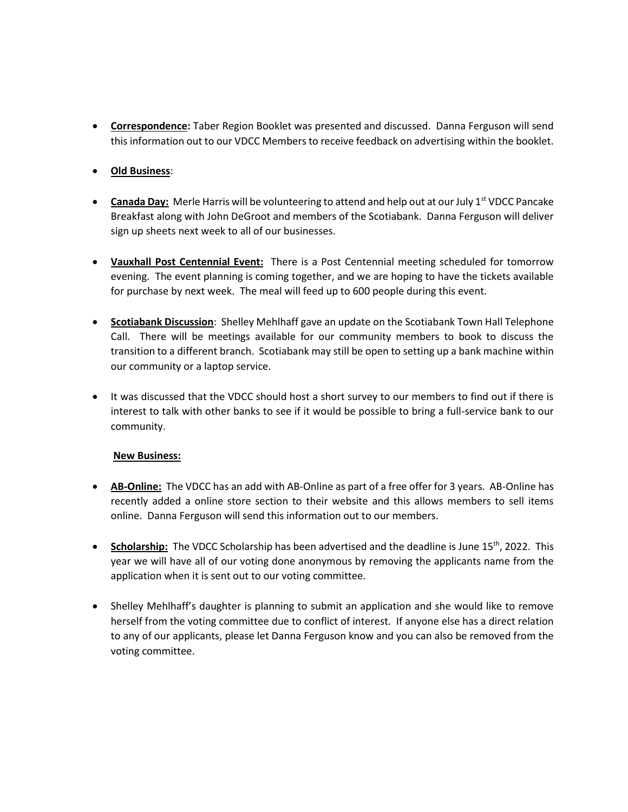- **Correspondence:** Taber Region Booklet was presented and discussed. Danna Ferguson will send this information out to our VDCC Members to receive feedback on advertising within the booklet.
- **Old Business**:
- **Canada Day:** Merle Harris will be volunteering to attend and help out at our July 1<sup>st</sup> VDCC Pancake Breakfast along with John DeGroot and members of the Scotiabank. Danna Ferguson will deliver sign up sheets next week to all of our businesses.
- **Vauxhall Post Centennial Event:** There is a Post Centennial meeting scheduled for tomorrow evening. The event planning is coming together, and we are hoping to have the tickets available for purchase by next week. The meal will feed up to 600 people during this event.
- **Scotiabank Discussion**: Shelley Mehlhaff gave an update on the Scotiabank Town Hall Telephone Call. There will be meetings available for our community members to book to discuss the transition to a different branch. Scotiabank may still be open to setting up a bank machine within our community or a laptop service.
- It was discussed that the VDCC should host a short survey to our members to find out if there is interest to talk with other banks to see if it would be possible to bring a full-service bank to our community.

## **New Business:**

- **AB-Online:** The VDCC has an add with AB-Online as part of a free offer for 3 years. AB-Online has recently added a online store section to their website and this allows members to sell items online. Danna Ferguson will send this information out to our members.
- **Scholarship:** The VDCC Scholarship has been advertised and the deadline is June 15<sup>th</sup>, 2022. This year we will have all of our voting done anonymous by removing the applicants name from the application when it is sent out to our voting committee.
- Shelley Mehlhaff's daughter is planning to submit an application and she would like to remove herself from the voting committee due to conflict of interest. If anyone else has a direct relation to any of our applicants, please let Danna Ferguson know and you can also be removed from the voting committee.